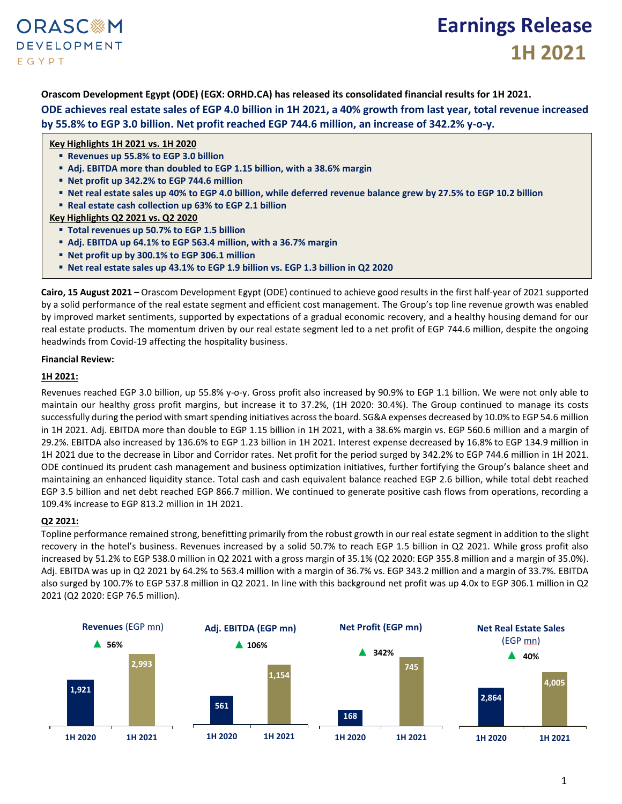## **ORASC**&M **DEVELOPMENT** EGYPT

# **Earnings Release 1H 2021**

**Orascom Development Egypt (ODE) (EGX: ORHD.CA) has released its consolidated financial results for 1H 2021.**

**ODE achieves real estate sales of EGP 4.0 billion in 1H 2021, a 40% growth from last year, total revenue increased by 55.8% to EGP 3.0 billion. Net profit reached EGP 744.6 million, an increase of 342.2% y-o-y.**

### **Key Highlights 1H 2021 vs. 1H 2020**

- **Revenues up 55.8% to EGP 3.0 billion**
- **Adj. EBITDA more than doubled to EGP 1.15 billion, with a 38.6% margin**
- **Net profit up 342.2% to EGP 744.6 million**
- **Net real estate sales up 40% to EGP 4.0 billion, while deferred revenue balance grew by 27.5% to EGP 10.2 billion**
- **Real estate cash collection up 63% to EGP 2.1 billion**

**Key Highlights Q2 2021 vs. Q2 2020**

- **Total revenues up 50.7% to EGP 1.5 billion**
- **Adj. EBITDA up 64.1% to EGP 563.4 million, with a 36.7% margin**
- **Net profit up by 300.1% to EGP 306.1 million**
- **Net real estate sales up 43.1% to EGP 1.9 billion vs. EGP 1.3 billion in Q2 2020**

**Cairo, 15 August 2021 –** Orascom Development Egypt (ODE) continued to achieve good results in the first half-year of 2021 supported by a solid performance of the real estate segment and efficient cost management. The Group's top line revenue growth was enabled by improved market sentiments, supported by expectations of a gradual economic recovery, and a healthy housing demand for our real estate products. The momentum driven by our real estate segment led to a net profit of EGP 744.6 million, despite the ongoing headwinds from Covid-19 affecting the hospitality business.

#### **Financial Review:**

### **1H 2021:**

Revenues reached EGP 3.0 billion, up 55.8% y-o-y. Gross profit also increased by 90.9% to EGP 1.1 billion. We were not only able to maintain our healthy gross profit margins, but increase it to 37.2%, (1H 2020: 30.4%). The Group continued to manage its costs successfully during the period with smart spending initiatives across the board. SG&A expenses decreased by 10.0% to EGP 54.6 million in 1H 2021. Adj. EBITDA more than double to EGP 1.15 billion in 1H 2021, with a 38.6% margin vs. EGP 560.6 million and a margin of 29.2%. EBITDA also increased by 136.6% to EGP 1.23 billion in 1H 2021. Interest expense decreased by 16.8% to EGP 134.9 million in 1H 2021 due to the decrease in Libor and Corridor rates. Net profit for the period surged by 342.2% to EGP 744.6 million in 1H 2021. ODE continued its prudent cash management and business optimization initiatives, further fortifying the Group's balance sheet and maintaining an enhanced liquidity stance. Total cash and cash equivalent balance reached EGP 2.6 billion, while total debt reached EGP 3.5 billion and net debt reached EGP 866.7 million. We continued to generate positive cash flows from operations, recording a 109.4% increase to EGP 813.2 million in 1H 2021.

## **Q2 2021:**

Topline performance remained strong, benefitting primarily from the robust growth in our real estate segment in addition to the slight recovery in the hotel's business. Revenues increased by a solid 50.7% to reach EGP 1.5 billion in Q2 2021. While gross profit also increased by 51.2% to EGP 538.0 million in Q2 2021 with a gross margin of 35.1% (Q2 2020: EGP 355.8 million and a margin of 35.0%). Adj. EBITDA was up in Q2 2021 by 64.2% to 563.4 million with a margin of 36.7% vs. EGP 343.2 million and a margin of 33.7%. EBITDA also surged by 100.7% to EGP 537.8 million in Q2 2021. In line with this background net profit was up 4.0x to EGP 306.1 million in Q2 2021 (Q2 2020: EGP 76.5 million).

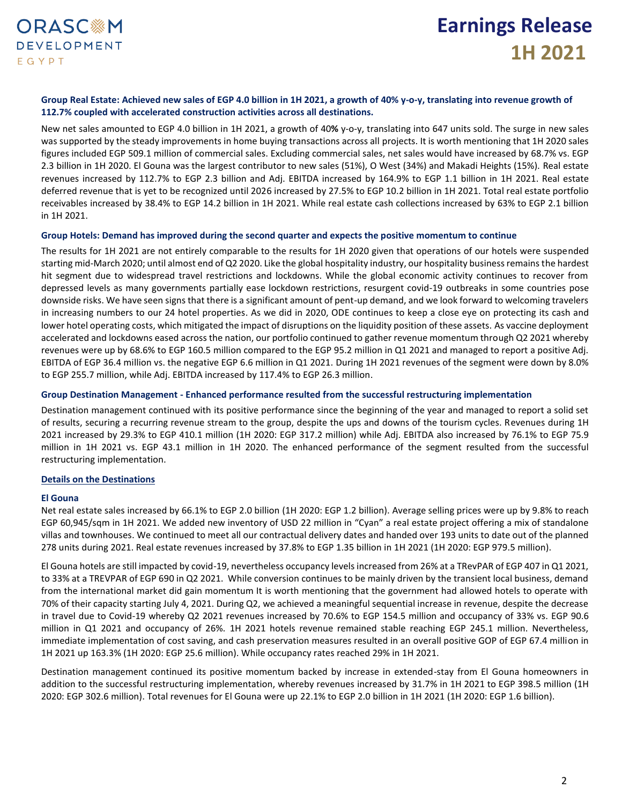### **Group Real Estate: Achieved new sales of EGP 4.0 billion in 1H 2021, a growth of 40% y-o-y, translating into revenue growth of 112.7% coupled with accelerated construction activities across all destinations.**

New net sales amounted to EGP 4.0 billion in 1H 2021, a growth of 40**%** y-o-y, translating into 647 units sold. The surge in new sales was supported by the steady improvements in home buying transactions across all projects. It is worth mentioning that 1H 2020 sales figures included EGP 509.1 million of commercial sales. Excluding commercial sales, net sales would have increased by 68.7% vs. EGP 2.3 billion in 1H 2020. El Gouna was the largest contributor to new sales (51%), O West (34%) and Makadi Heights (15%). Real estate revenues increased by 112.7% to EGP 2.3 billion and Adj. EBITDA increased by 164.9% to EGP 1.1 billion in 1H 2021. Real estate deferred revenue that is yet to be recognized until 2026 increased by 27.5% to EGP 10.2 billion in 1H 2021. Total real estate portfolio receivables increased by 38.4% to EGP 14.2 billion in 1H 2021. While real estate cash collections increased by 63% to EGP 2.1 billion in 1H 2021.

#### **Group Hotels: Demand has improved during the second quarter and expects the positive momentum to continue**

The results for 1H 2021 are not entirely comparable to the results for 1H 2020 given that operations of our hotels were suspended starting mid-March 2020; until almost end of Q2 2020. Like the global hospitality industry, our hospitality business remains the hardest hit segment due to widespread travel restrictions and lockdowns. While the global economic activity continues to recover from depressed levels as many governments partially ease lockdown restrictions, resurgent covid-19 outbreaks in some countries pose downside risks. We have seen signs that there is a significant amount of pent-up demand, and we look forward to welcoming travelers in increasing numbers to our 24 hotel properties. As we did in 2020, ODE continues to keep a close eye on protecting its cash and lower hotel operating costs, which mitigated the impact of disruptions on the liquidity position of these assets. As vaccine deployment accelerated and lockdowns eased across the nation, our portfolio continued to gather revenue momentum through Q2 2021 whereby revenues were up by 68.6% to EGP 160.5 million compared to the EGP 95.2 million in Q1 2021 and managed to report a positive Adj. EBITDA of EGP 36.4 million vs. the negative EGP 6.6 million in Q1 2021. During 1H 2021 revenues of the segment were down by 8.0% to EGP 255.7 million, while Adj. EBITDA increased by 117.4% to EGP 26.3 million.

#### **Group Destination Management - Enhanced performance resulted from the successful restructuring implementation**

Destination management continued with its positive performance since the beginning of the year and managed to report a solid set of results, securing a recurring revenue stream to the group, despite the ups and downs of the tourism cycles. Revenues during 1H 2021 increased by 29.3% to EGP 410.1 million (1H 2020: EGP 317.2 million) while Adj. EBITDA also increased by 76.1% to EGP 75.9 million in 1H 2021 vs. EGP 43.1 million in 1H 2020. The enhanced performance of the segment resulted from the successful restructuring implementation.

#### **Details on the Destinations**

#### **El Gouna**

Net real estate sales increased by 66.1% to EGP 2.0 billion (1H 2020: EGP 1.2 billion). Average selling prices were up by 9.8% to reach EGP 60,945/sqm in 1H 2021. We added new inventory of USD 22 million in "Cyan" a real estate project offering a mix of standalone villas and townhouses. We continued to meet all our contractual delivery dates and handed over 193 units to date out of the planned 278 units during 2021. Real estate revenues increased by 37.8% to EGP 1.35 billion in 1H 2021 (1H 2020: EGP 979.5 million).

El Gouna hotels are still impacted by covid-19, nevertheless occupancy levels increased from 26% at a TRevPAR of EGP 407 in Q1 2021, to 33% at a TREVPAR of EGP 690 in Q2 2021. While conversion continues to be mainly driven by the transient local business, demand from the international market did gain momentum It is worth mentioning that the government had allowed hotels to operate with 70% of their capacity starting July 4, 2021. During Q2, we achieved a meaningful sequential increase in revenue, despite the decrease in travel due to Covid-19 whereby Q2 2021 revenues increased by 70.6% to EGP 154.5 million and occupancy of 33% vs. EGP 90.6 million in Q1 2021 and occupancy of 26%. 1H 2021 hotels revenue remained stable reaching EGP 245.1 million. Nevertheless, immediate implementation of cost saving, and cash preservation measures resulted in an overall positive GOP of EGP 67.4 million in 1H 2021 up 163.3% (1H 2020: EGP 25.6 million). While occupancy rates reached 29% in 1H 2021.

Destination management continued its positive momentum backed by increase in extended-stay from El Gouna homeowners in addition to the successful restructuring implementation, whereby revenues increased by 31.7% in 1H 2021 to EGP 398.5 million (1H 2020: EGP 302.6 million). Total revenues for El Gouna were up 22.1% to EGP 2.0 billion in 1H 2021 (1H 2020: EGP 1.6 billion).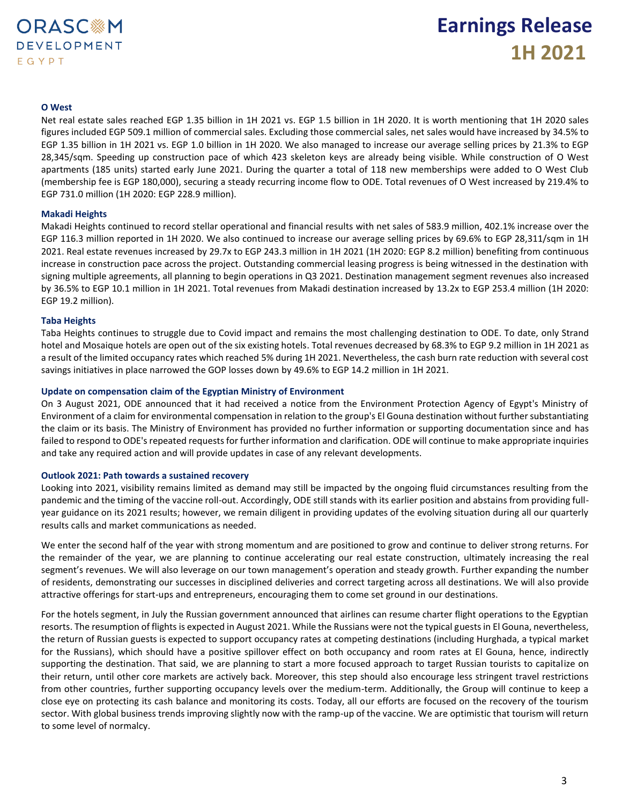### **O West**

Net real estate sales reached EGP 1.35 billion in 1H 2021 vs. EGP 1.5 billion in 1H 2020. It is worth mentioning that 1H 2020 sales figures included EGP 509.1 million of commercial sales. Excluding those commercial sales, net sales would have increased by 34.5% to EGP 1.35 billion in 1H 2021 vs. EGP 1.0 billion in 1H 2020. We also managed to increase our average selling prices by 21.3% to EGP 28,345/sqm. Speeding up construction pace of which 423 skeleton keys are already being visible. While construction of O West apartments (185 units) started early June 2021. During the quarter a total of 118 new memberships were added to O West Club (membership fee is EGP 180,000), securing a steady recurring income flow to ODE. Total revenues of O West increased by 219.4% to EGP 731.0 million (1H 2020: EGP 228.9 million).

#### **Makadi Heights**

Makadi Heights continued to record stellar operational and financial results with net sales of 583.9 million, 402.1% increase over the EGP 116.3 million reported in 1H 2020. We also continued to increase our average selling prices by 69.6% to EGP 28,311/sqm in 1H 2021. Real estate revenues increased by 29.7x to EGP 243.3 million in 1H 2021 (1H 2020: EGP 8.2 million) benefiting from continuous increase in construction pace across the project. Outstanding commercial leasing progress is being witnessed in the destination with signing multiple agreements, all planning to begin operations in Q3 2021. Destination management segment revenues also increased by 36.5% to EGP 10.1 million in 1H 2021. Total revenues from Makadi destination increased by 13.2x to EGP 253.4 million (1H 2020: EGP 19.2 million).

### **Taba Heights**

Taba Heights continues to struggle due to Covid impact and remains the most challenging destination to ODE. To date, only Strand hotel and Mosaique hotels are open out of the six existing hotels. Total revenues decreased by 68.3% to EGP 9.2 million in 1H 2021 as a result of the limited occupancy rates which reached 5% during 1H 2021. Nevertheless, the cash burn rate reduction with several cost savings initiatives in place narrowed the GOP losses down by 49.6% to EGP 14.2 million in 1H 2021.

#### **Update on compensation claim of the Egyptian Ministry of Environment**

On 3 August 2021, ODE announced that it had received a notice from the Environment Protection Agency of Egypt's Ministry of Environment of a claim for environmental compensation in relation to the group's El Gouna destination without further substantiating the claim or its basis. The Ministry of Environment has provided no further information or supporting documentation since and has failed to respond to ODE's repeated requests for further information and clarification. ODE will continue to make appropriate inquiries and take any required action and will provide updates in case of any relevant developments.

#### **Outlook 2021: Path towards a sustained recovery**

Looking into 2021, visibility remains limited as demand may still be impacted by the ongoing fluid circumstances resulting from the pandemic and the timing of the vaccine roll-out. Accordingly, ODE still stands with its earlier position and abstains from providing fullyear guidance on its 2021 results; however, we remain diligent in providing updates of the evolving situation during all our quarterly results calls and market communications as needed.

We enter the second half of the year with strong momentum and are positioned to grow and continue to deliver strong returns. For the remainder of the year, we are planning to continue accelerating our real estate construction, ultimately increasing the real segment's revenues. We will also leverage on our town management's operation and steady growth. Further expanding the number of residents, demonstrating our successes in disciplined deliveries and correct targeting across all destinations. We will also provide attractive offerings for start-ups and entrepreneurs, encouraging them to come set ground in our destinations.

For the hotels segment, in July the Russian government announced that airlines can resume charter flight operations to the Egyptian resorts. The resumption of flights is expected in August 2021. While the Russians were not the typical guests in El Gouna, nevertheless, the return of Russian guests is expected to support occupancy rates at competing destinations (including Hurghada, a typical market for the Russians), which should have a positive spillover effect on both occupancy and room rates at El Gouna, hence, indirectly supporting the destination. That said, we are planning to start a more focused approach to target Russian tourists to capitalize on their return, until other core markets are actively back. Moreover, this step should also encourage less stringent travel restrictions from other countries, further supporting occupancy levels over the medium-term. Additionally, the Group will continue to keep a close eye on protecting its cash balance and monitoring its costs. Today, all our efforts are focused on the recovery of the tourism sector. With global business trends improving slightly now with the ramp-up of the vaccine. We are optimistic that tourism will return to some level of normalcy.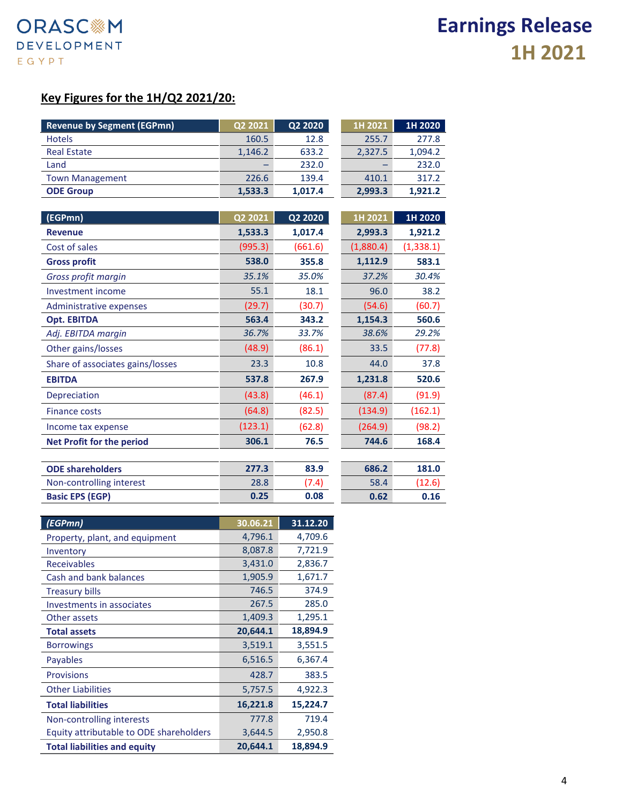# **Key Figures for the 1H/Q2 2021/20:**

| <b>Revenue by Segment (EGPmn)</b> | Q2 2021 | Q2 2020 | 1H 2021   | 1H 2020    |
|-----------------------------------|---------|---------|-----------|------------|
| <b>Hotels</b>                     | 160.5   | 12.8    | 255.7     | 277.8      |
| <b>Real Estate</b>                | 1,146.2 | 633.2   | 2,327.5   | 1,094.2    |
| Land                              |         | 232.0   |           | 232.0      |
| <b>Town Management</b>            | 226.6   | 139.4   | 410.1     | 317.2      |
| <b>ODE Group</b>                  | 1,533.3 | 1,017.4 | 2,993.3   | 1,921.2    |
|                                   |         |         |           |            |
| (EGPmn)                           | Q2 2021 | Q2 2020 | 1H 2021   | 1H 2020    |
| <b>Revenue</b>                    | 1,533.3 | 1,017.4 | 2,993.3   | 1,921.2    |
| Cost of sales                     | (995.3) | (661.6) | (1,880.4) | (1, 338.1) |
| <b>Gross profit</b>               | 538.0   | 355.8   | 1,112.9   | 583.1      |
| Gross profit margin               | 35.1%   | 35.0%   | 37.2%     | 30.4%      |
| Investment income                 | 55.1    | 18.1    | 96.0      | 38.2       |
| Administrative expenses           | (29.7)  | (30.7)  | (54.6)    | (60.7)     |
| <b>Opt. EBITDA</b>                | 563.4   | 343.2   | 1,154.3   | 560.6      |
| Adj. EBITDA margin                | 36.7%   | 33.7%   | 38.6%     | 29.2%      |
| Other gains/losses                | (48.9)  | (86.1)  | 33.5      | (77.8)     |
| Share of associates gains/losses  | 23.3    | 10.8    | 44.0      | 37.8       |
| <b>EBITDA</b>                     | 537.8   | 267.9   | 1,231.8   | 520.6      |
| Depreciation                      | (43.8)  | (46.1)  | (87.4)    | (91.9)     |
| <b>Finance costs</b>              | (64.8)  | (82.5)  | (134.9)   | (162.1)    |
| Income tax expense                | (123.1) | (62.8)  | (264.9)   | (98.2)     |
| <b>Net Profit for the period</b>  | 306.1   | 76.5    | 744.6     | 168.4      |
|                                   |         |         |           |            |
| <b>ODE shareholders</b>           | 277.3   | 83.9    | 686.2     | 181.0      |
| Non-controlling interest          | 28.8    | (7.4)   | 58.4      | (12.6)     |
| <b>Basic EPS (EGP)</b>            | 0.25    | 0.08    | 0.62      | 0.16       |

| (EGPmn)                                 | 30.06.21 | 31.12.20 |
|-----------------------------------------|----------|----------|
| Property, plant, and equipment          | 4,796.1  | 4,709.6  |
| Inventory                               | 8,087.8  | 7,721.9  |
| <b>Receivables</b>                      | 3,431.0  | 2,836.7  |
| Cash and bank balances                  | 1,905.9  | 1,671.7  |
| <b>Treasury bills</b>                   | 746.5    | 374.9    |
| Investments in associates               | 267.5    | 285.0    |
| Other assets                            | 1,409.3  | 1,295.1  |
| <b>Total assets</b>                     | 20,644.1 | 18,894.9 |
| <b>Borrowings</b>                       | 3,519.1  | 3,551.5  |
| Payables                                | 6,516.5  | 6,367.4  |
| <b>Provisions</b>                       | 428.7    | 383.5    |
| <b>Other Liabilities</b>                | 5,757.5  | 4,922.3  |
| <b>Total liabilities</b>                | 16,221.8 | 15,224.7 |
| Non-controlling interests               | 777.8    | 719.4    |
| Equity attributable to ODE shareholders | 3,644.5  | 2,950.8  |
| <b>Total liabilities and equity</b>     | 20,644.1 | 18.894.9 |